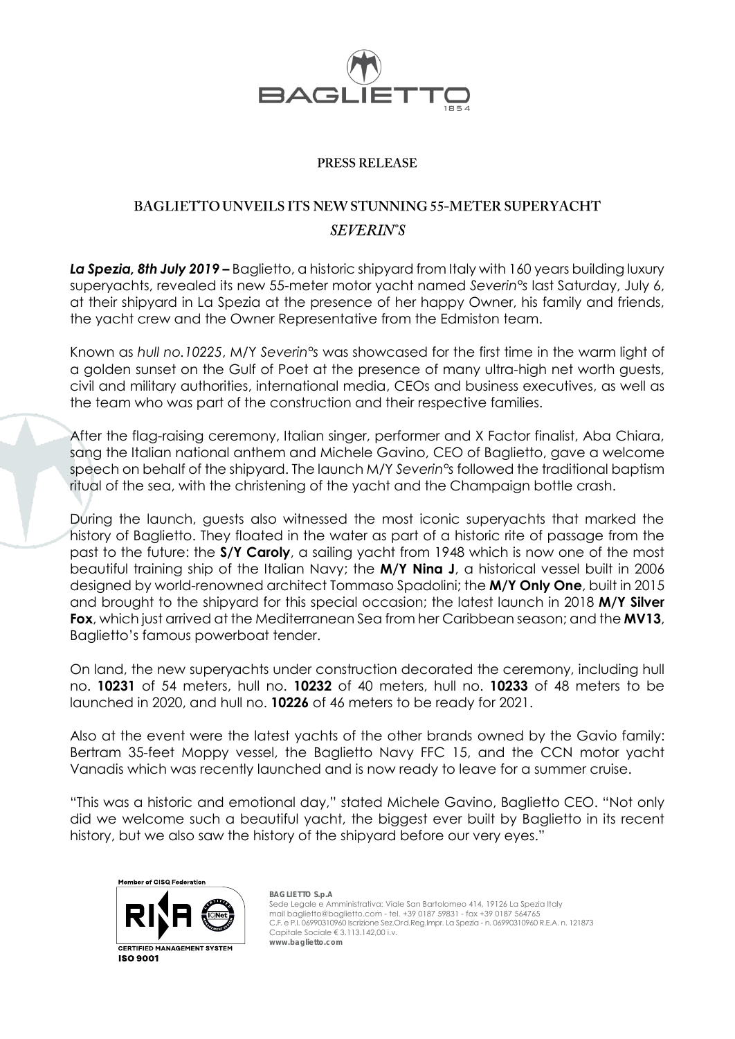

### PRESS RELEASE

# BAGLIETTO UNVEILS ITS NEW STUNNING 55-METER SUPERYACHT **SEVERIN'S**

*La Spezia, 8th July 2019* **–** Baglietto, a historic shipyard from Italy with 160 years building luxury superyachts, revealed its new 55-meter motor yacht named *Severin°s* last Saturday, July 6, at their shipyard in La Spezia at the presence of her happy Owner, his family and friends, the yacht crew and the Owner Representative from the Edmiston team.

Known as *hull no.10225*, M/Y *Severin°s* was showcased for the first time in the warm light of a golden sunset on the Gulf of Poet at the presence of many ultra-high net worth guests, civil and military authorities, international media, CEOs and business executives, as well as the team who was part of the construction and their respective families.

After the flag-raising ceremony, Italian singer, performer and X Factor finalist, Aba Chiara, sang the Italian national anthem and Michele Gavino, CEO of Baglietto, gave a welcome speech on behalf of the shipyard. The launch M/Y *Severin°s* followed the traditional baptism ritual of the sea, with the christening of the yacht and the Champaign bottle crash.

During the launch, guests also witnessed the most iconic superyachts that marked the history of Baglietto. They floated in the water as part of a historic rite of passage from the past to the future: the **S/Y Caroly**, a sailing yacht from 1948 which is now one of the most beautiful training ship of the Italian Navy; the **M/Y Nina J**, a historical vessel built in 2006 designed by world-renowned architect Tommaso Spadolini; the **M/Y Only One**, built in 2015 and brought to the shipyard for this special occasion; the latest launch in 2018 **M/Y Silver Fox**, which just arrived at the Mediterranean Sea from her Caribbean season; and the **MV13**, Baglietto's famous powerboat tender.

On land, the new superyachts under construction decorated the ceremony, including hull no. **10231** of 54 meters, hull no. **10232** of 40 meters, hull no. **10233** of 48 meters to be launched in 2020, and hull no. **10226** of 46 meters to be ready for 2021.

Also at the event were the latest yachts of the other brands owned by the Gavio family: Bertram 35-feet Moppy vessel, the Baglietto Navy FFC 15, and the CCN motor yacht Vanadis which was recently launched and is now ready to leave for a summer cruise.

"This was a historic and emotional day," stated Michele Gavino, Baglietto CEO. "Not only did we welcome such a beautiful yacht, the biggest ever built by Baglietto in its recent history, but we also saw the history of the shipyard before our very eyes."

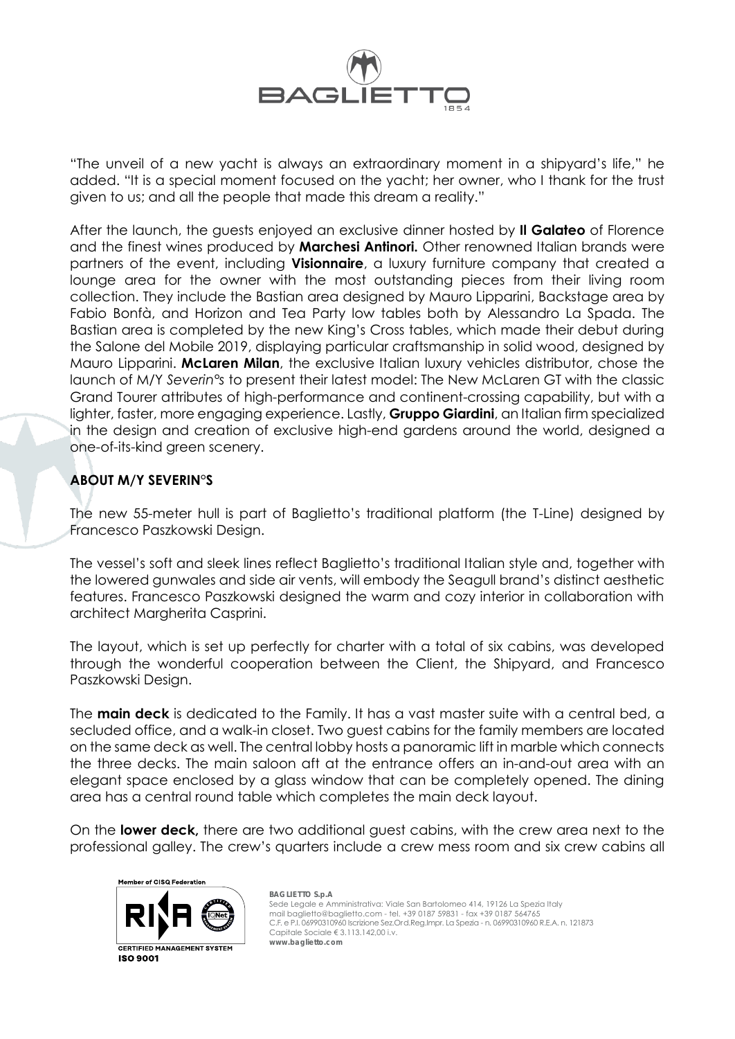

"The unveil of a new yacht is always an extraordinary moment in a shipyard's life," he added. "It is a special moment focused on the yacht; her owner, who I thank for the trust given to us; and all the people that made this dream a reality."

After the launch, the guests enjoyed an exclusive dinner hosted by **Il Galateo** of Florence and the finest wines produced by **Marchesi Antinori.** Other renowned Italian brands were partners of the event, including **Visionnaire**, a luxury furniture company that created a lounge area for the owner with the most outstanding pieces from their living room collection. They include the Bastian area designed by Mauro Lipparini, Backstage area by Fabio Bonfà, and Horizon and Tea Party low tables both by Alessandro La Spada. The Bastian area is completed by the new King's Cross tables, which made their debut during the Salone del Mobile 2019, displaying particular craftsmanship in solid wood, designed by Mauro Lipparini. **McLaren Milan**, the exclusive Italian luxury vehicles distributor, chose the launch of M/Y *Severin°s* to present their latest model: The New McLaren GT with the classic Grand Tourer attributes of high-performance and continent-crossing capability, but with a lighter, faster, more engaging experience. Lastly, **Gruppo Giardini**, an Italian firm specialized in the design and creation of exclusive high-end gardens around the world, designed a one-of-its-kind green scenery.

## **ABOUT M/Y SEVERIN°S**

The new 55-meter hull is part of Baglietto's traditional platform (the T-Line) designed by Francesco Paszkowski Design.

The vessel's soft and sleek lines reflect Baglietto's traditional Italian style and, together with the lowered gunwales and side air vents, will embody the Seagull brand's distinct aesthetic features. Francesco Paszkowski designed the warm and cozy interior in collaboration with architect Margherita Casprini.

The layout, which is set up perfectly for charter with a total of six cabins, was developed through the wonderful cooperation between the Client, the Shipyard, and Francesco Paszkowski Design.

The **main deck** is dedicated to the Family. It has a vast master suite with a central bed, a secluded office, and a walk-in closet. Two guest cabins for the family members are located on the same deck as well. The central lobby hosts a panoramic lift in marble which connects the three decks. The main saloon aft at the entrance offers an in-and-out area with an elegant space enclosed by a glass window that can be completely opened. The dining area has a central round table which completes the main deck layout.

On the **lower deck,** there are two additional guest cabins, with the crew area next to the professional galley. The crew's quarters include a crew mess room and six crew cabins all

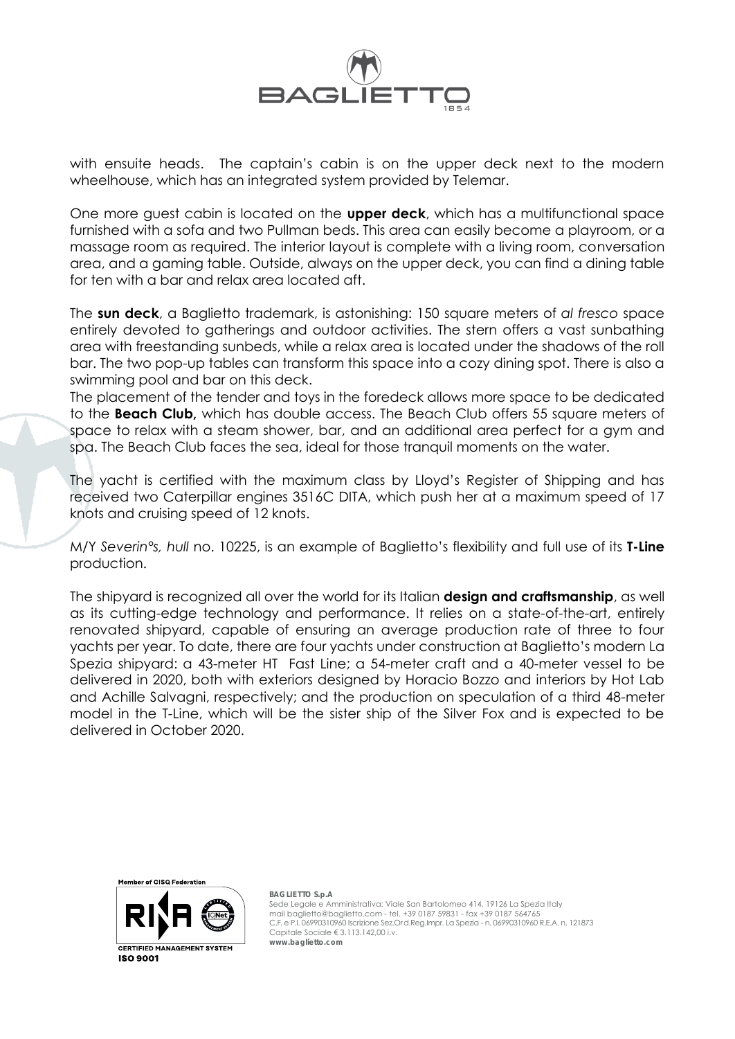

with ensuite heads. The captain's cabin is on the upper deck next to the modern wheelhouse, which has an integrated system provided by Telemar.

One more guest cabin is located on the **upper deck**, which has a multifunctional space furnished with a sofa and two Pullman beds. This area can easily become a playroom, or a massage room as required. The interior layout is complete with a living room, conversation area, and a gaming table. Outside, always on the upper deck, you can find a dining table for ten with a bar and relax area located aft.

The **sun deck**, a Baglietto trademark, is astonishing: 150 square meters of *al fresco* space entirely devoted to gatherings and outdoor activities. The stern offers a vast sunbathing area with freestanding sunbeds, while a relax area is located under the shadows of the roll bar. The two pop-up tables can transform this space into a cozy dining spot. There is also a swimming pool and bar on this deck.

The placement of the tender and toys in the foredeck allows more space to be dedicated to the **Beach Club,** which has double access. The Beach Club offers 55 square meters of space to relax with a steam shower, bar, and an additional area perfect for a gym and spa. The Beach Club faces the sea, ideal for those tranquil moments on the water.

The yacht is certified with the maximum class by Lloyd's Register of Shipping and has received two Caterpillar engines 3516C DITA, which push her at a maximum speed of 17 knots and cruising speed of 12 knots.

M/Y *Severin°s, hull* no. 10225, is an example of Baglietto's flexibility and full use of its **T-Line**  production.

The shipyard is recognized all over the world for its Italian **design and craftsmanship**, as well as its cutting-edge technology and performance. It relies on a state-of-the-art, entirely renovated shipyard, capable of ensuring an average production rate of three to four yachts per year. To date, there are four yachts under construction at Baglietto's modern La Spezia shipyard: a 43-meter HT Fast Line; a 54-meter craft and a 40-meter vessel to be delivered in 2020, both with exteriors designed by Horacio Bozzo and interiors by Hot Lab and Achille Salvagni, respectively; and the production on speculation of a third 48-meter model in the T-Line, which will be the sister ship of the Silver Fox and is expected to be delivered in October 2020.